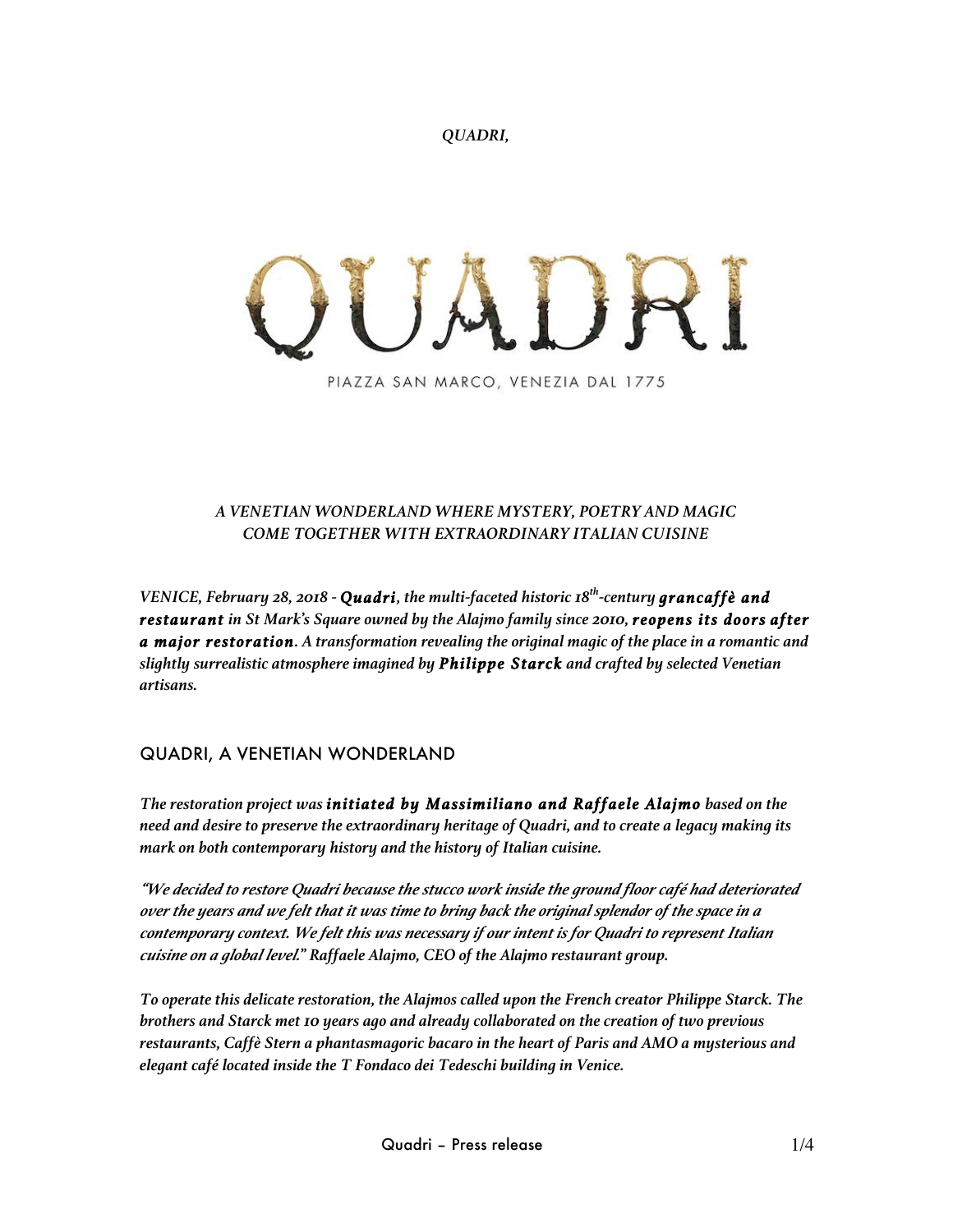*QUADRI,*

PIAZZA SAN MARCO, VENEZIA DAL 1775

#### *A VENETIAN WONDERLAND WHERE MYSTERY, POETRY AND MAGIC COME TOGETHER WITH EXTRAORDINARY ITALIAN CUISINE*

*VENICE, February 28, 2018 - Quadri, the multi-faceted historic 18th-century grancaffè and restaurant in St Mark's Square owned by the Alajmo family since 2010, reopens its doors after a major restoration. A transformation revealing the original magic of the place in a romantic and slightly surrealistic atmosphere imagined by Philippe Starck and crafted by selected Venetian artisans.* 

# QUADRI, A VENETIAN WONDERLAND

*The restoration project was initiated by Massimiliano and Raffaele Alajmo based on the need and desire to preserve the extraordinary heritage of Quadri, and to create a legacy making its mark on both contemporary history and the history of Italian cuisine.* 

*"We decided to restore Quadri because the stucco work inside the ground floor café had deteriorated over the years and we felt that it was time to bring back the original splendor of the space in a contemporary context. We felt this was necessary if our intent is for Quadri to represent Italian cuisine on a global level." Raffaele Alajmo, CEO of the Alajmo restaurant group.*

*To operate this delicate restoration, the Alajmos called upon the French creator Philippe Starck. The brothers and Starck met 10 years ago and already collaborated on the creation of two previous restaurants, Caffè Stern a phantasmagoric bacaro in the heart of Paris and AMO a mysterious and elegant café located inside the T Fondaco dei Tedeschi building in Venice.*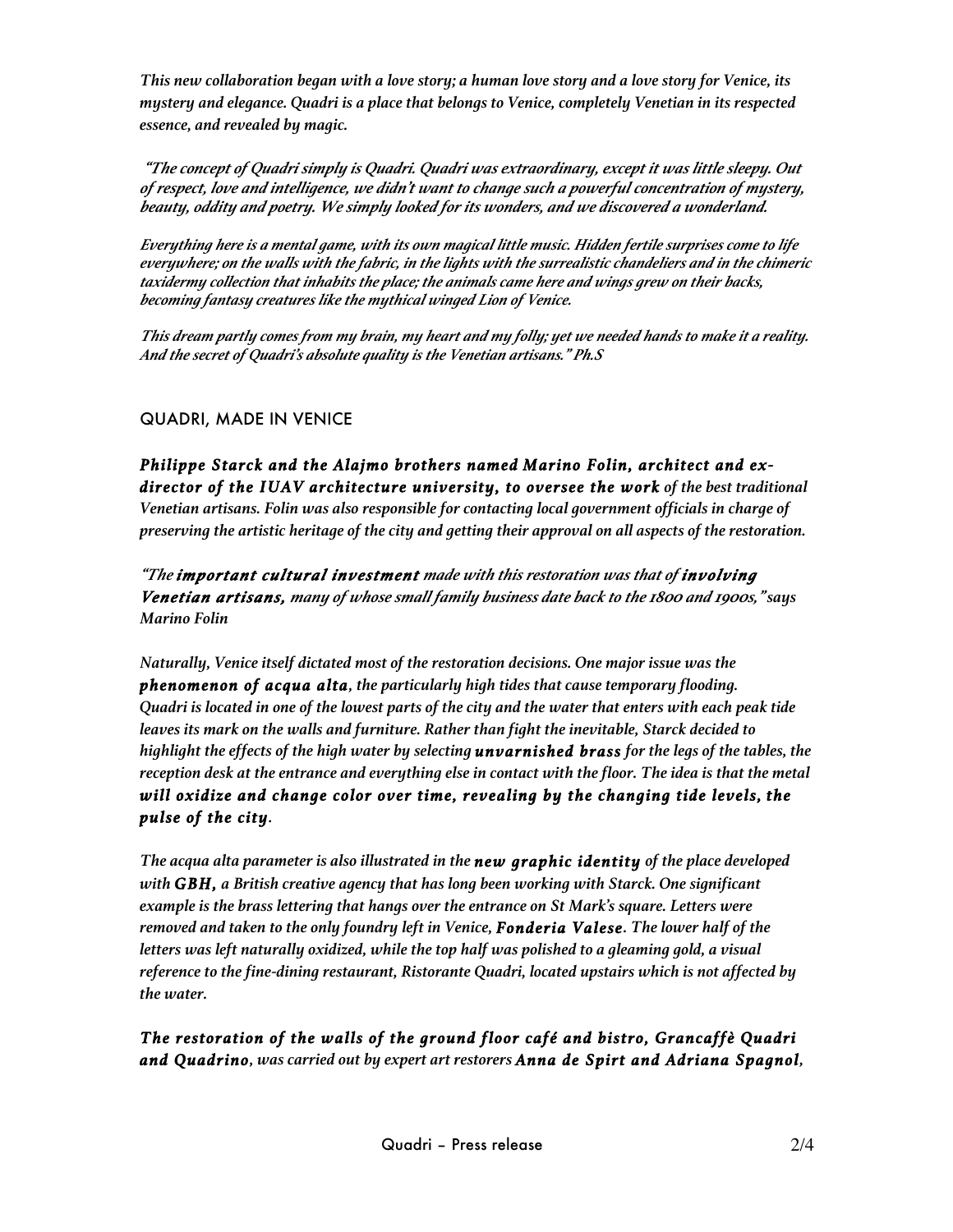*This new collaboration began with a love story; a human love story and a love story for Venice, its mystery and elegance. Quadri is a place that belongs to Venice, completely Venetian in its respected essence, and revealed by magic.*

*"The concept of Quadri simply is Quadri. Quadri was extraordinary, except it was little sleepy. Out of respect, love and intelligence, we didn't want to change such a powerful concentration of mystery, beauty, oddity and poetry. We simply looked for its wonders, and we discovered a wonderland.* 

*Everything here is a mental game, with its own magical little music. Hidden fertile surprises come to life everywhere; on the walls with the fabric, in the lights with the surrealistic chandeliers and in the chimeric taxidermy collection that inhabits the place; the animals came here and wings grew on their backs, becoming fantasy creatures like the mythical winged Lion of Venice.* 

*This dream partly comes from my brain, my heart and my folly; yet we needed hands to make it a reality. And the secret of Quadri's absolute quality is the Venetian artisans." Ph.S* 

### QUADRI, MADE IN VENICE

*Philippe Starck and the Alajmo brothers named Marino Folin, architect and exdirector of the IUAV architecture university, to oversee the work of the best traditional Venetian artisans. Folin was also responsible for contacting local government officials in charge of preserving the artistic heritage of the city and getting their approval on all aspects of the restoration.* 

*"The important cultural investment made with this restoration was that of involving Venetian artisans, many of whose small family business date back to the 1800 and 1900s," says Marino Folin*

*Naturally, Venice itself dictated most of the restoration decisions. One major issue was the phenomenon of acqua alta, the particularly high tides that cause temporary flooding. Quadri is located in one of the lowest parts of the city and the water that enters with each peak tide leaves its mark on the walls and furniture. Rather than fight the inevitable, Starck decided to highlight the effects of the high water by selecting unvarnished brass for the legs of the tables, the reception desk at the entrance and everything else in contact with the floor. The idea is that the metal will oxidize and change color over time, revealing by the changing tide levels, the pulse of the city.* 

*The acqua alta parameter is also illustrated in the new graphic identity of the place developed with GBH, a British creative agency that has long been working with Starck. One significant example is the brass lettering that hangs over the entrance on St Mark's square. Letters were removed and taken to the only foundry left in Venice, Fonderia Valese. The lower half of the letters was left naturally oxidized, while the top half was polished to a gleaming gold, a visual reference to the fine-dining restaurant, Ristorante Quadri, located upstairs which is not affected by the water.* 

*The restoration of the walls of the ground floor café and bistro, Grancaffè Quadri and Quadrino, was carried out by expert art restorers Anna de Spirt and Adriana Spagnol,*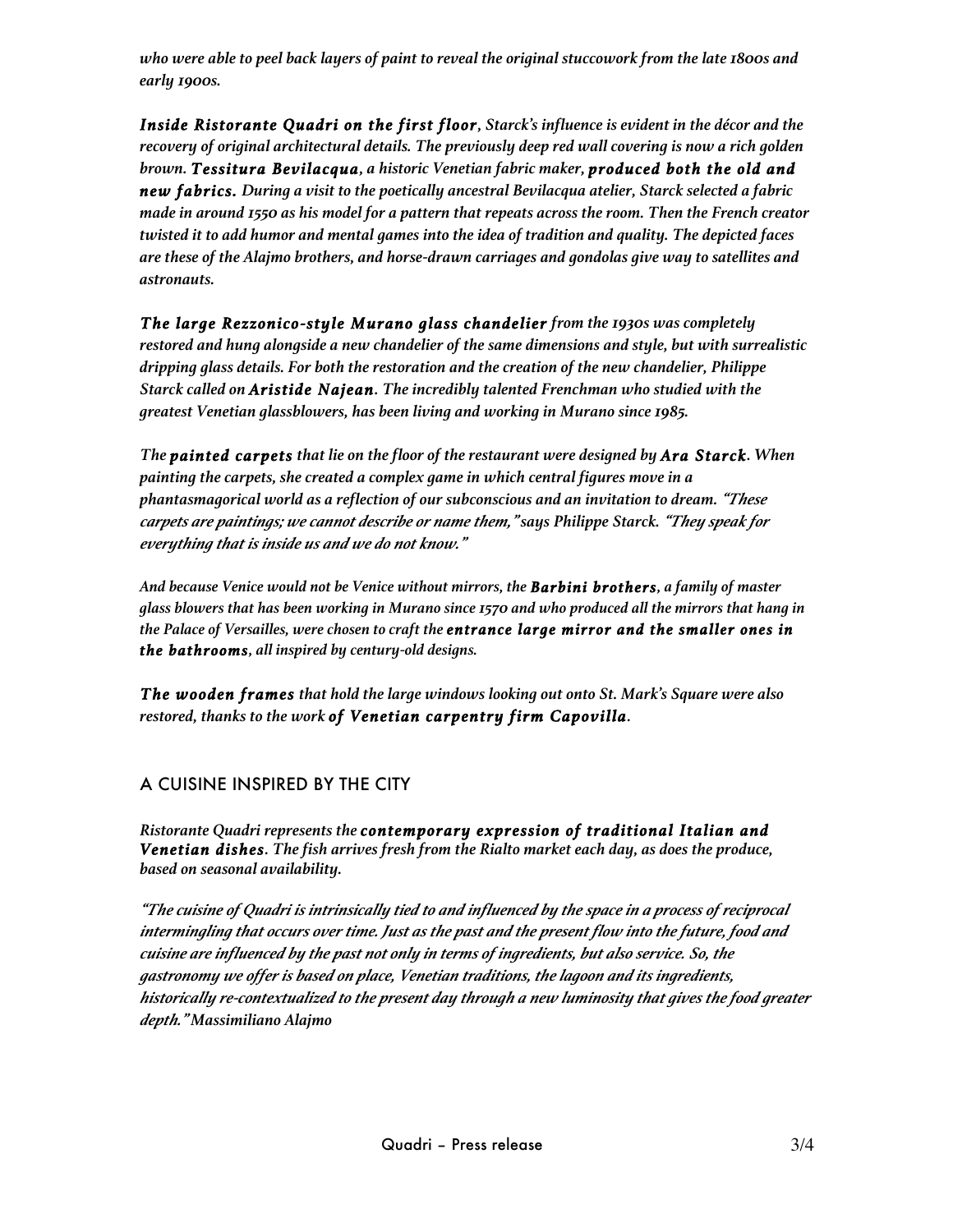*who were able to peel back layers of paint to reveal the original stuccowork from the late 1800s and early 1900s.* 

*Inside Ristorante Quadri on the first floor, Starck's influence is evident in the décor and the recovery of original architectural details. The previously deep red wall covering is now a rich golden brown. Tessitura Bevilacqua, a historic Venetian fabric maker, produced both the old and new fabrics. During a visit to the poetically ancestral Bevilacqua atelier, Starck selected a fabric made in around 1550 as his model for a pattern that repeats across the room. Then the French creator twisted it to add humor and mental games into the idea of tradition and quality. The depicted faces are these of the Alajmo brothers, and horse-drawn carriages and gondolas give way to satellites and astronauts.*

*The large Rezzonico-style Murano glass chandelier from the 1930s was completely restored and hung alongside a new chandelier of the same dimensions and style, but with surrealistic dripping glass details. For both the restoration and the creation of the new chandelier, Philippe Starck called on Aristide Najean. The incredibly talented Frenchman who studied with the greatest Venetian glassblowers, has been living and working in Murano since 1985.* 

*The painted carpets that lie on the floor of the restaurant were designed by Ara Starck. When painting the carpets, she created a complex game in which central figures move in a phantasmagorical world as a reflection of our subconscious and an invitation to dream. "These carpets are paintings; we cannot describe or name them," says Philippe Starck. "They speak for everything that is inside us and we do not know."*

*And because Venice would not be Venice without mirrors, the Barbini brothers, a family of master glass blowers that has been working in Murano since 1570 and who produced all the mirrors that hang in the Palace of Versailles, were chosen to craft the entrance large mirror and the smaller ones in the bathrooms, all inspired by century-old designs.*

*The wooden frames that hold the large windows looking out onto St. Mark's Square were also restored, thanks to the work of Venetian carpentry firm Capovilla.*

# A CUISINE INSPIRED BY THE CITY

*Ristorante Quadri represents the contemporary expression of traditional Italian and Venetian dishes. The fish arrives fresh from the Rialto market each day, as does the produce, based on seasonal availability.* 

*"The cuisine of Quadri is intrinsically tied to and influenced by the space in a process of reciprocal intermingling that occurs over time. Just as the past and the present flow into the future, food and cuisine are influenced by the past not only in terms of ingredients, but also service. So, the gastronomy we offer is based on place, Venetian traditions, the lagoon and its ingredients, historically re-contextualized to the present day through a new luminosity that gives the food greater depth." Massimiliano Alajmo*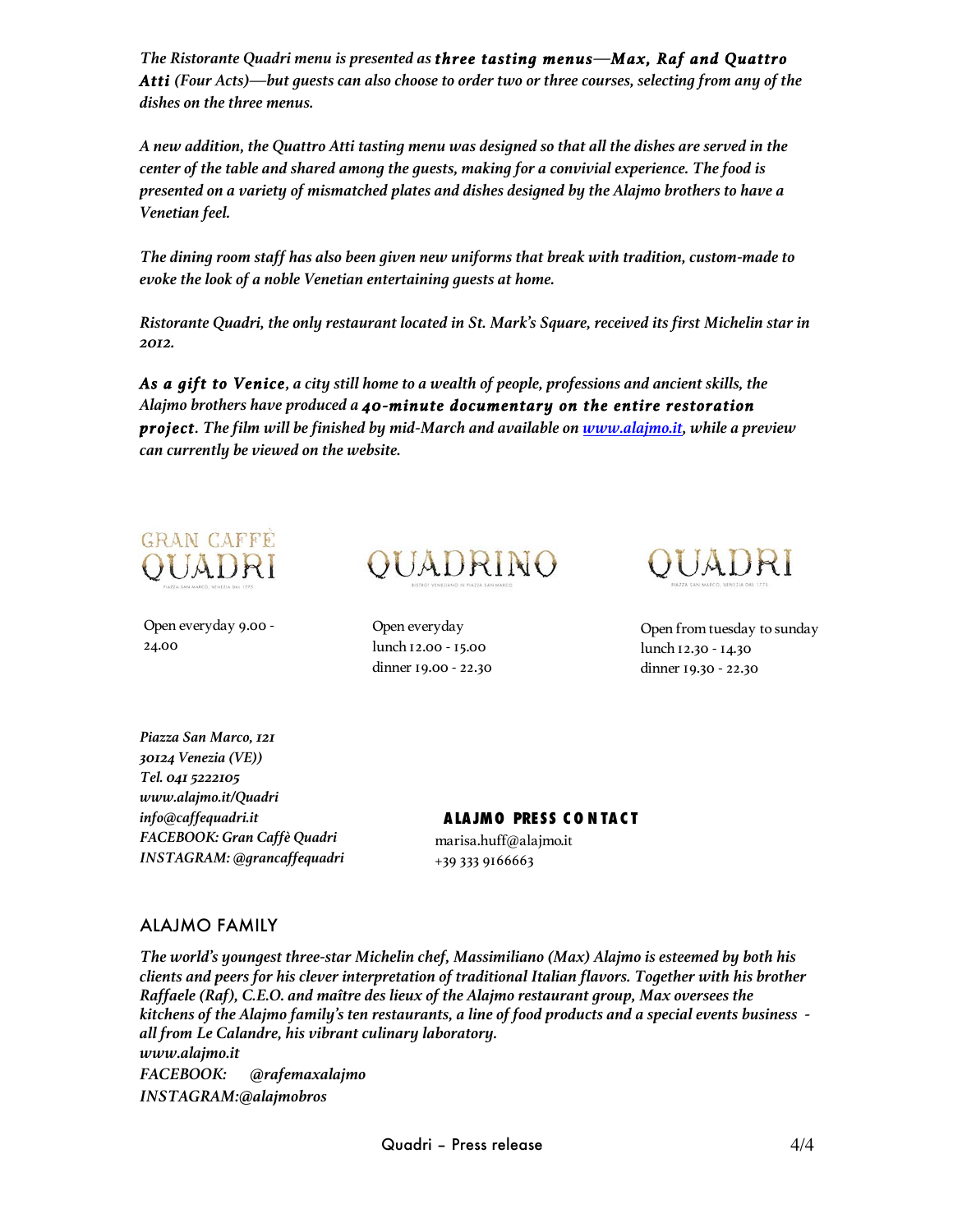*The Ristorante Quadri menu is presented as three tasting menus—Max, Raf and Quattro Atti (Four Acts)—but guests can also choose to order two or three courses, selecting from any of the dishes on the three menus.* 

*A new addition, the Quattro Atti tasting menu was designed so that all the dishes are served in the center of the table and shared among the guests, making for a convivial experience. The food is presented on a variety of mismatched plates and dishes designed by the Alajmo brothers to have a Venetian feel.* 

*The dining room staff has also been given new uniforms that break with tradition, custom-made to evoke the look of a noble Venetian entertaining guests at home.* 

*Ristorante Quadri, the only restaurant located in St. Mark's Square, received its first Michelin star in 2012.*

*As a gift to Venice, a city still home to a wealth of people, professions and ancient skills, the Alajmo brothers have produced a 40-minute documentary on the entire restoration project. The film will be finished by mid-March and available on www.alajmo.it, while a preview can currently be viewed on the website.* 



Open everyday 9.00 - 24.00



Open everyday lunch 12.00 - 15.00 dinner 19.00 - 22.30



Open from tuesday to sunday lunch 12.30 - 14.30 dinner 19.30 - 22.30

*Piazza San Marco, 121 30124 Venezia (VE)) Tel. 041 5222105 www.alajmo.it/Quadri info@caffequadri.it FACEBOOK: Gran Caffè Quadri INSTAGRAM: @grancaffequadri*

**A LA JMO PRESS C O N TA C T** marisa.huff@alajmo.it +39 333 9166663

#### ALAJMO FAMILY

*The world's youngest three-star Michelin chef, Massimiliano (Max) Alajmo is esteemed by both his clients and peers for his clever interpretation of traditional Italian flavors. Together with his brother Raffaele (Raf), C.E.O. and maître des lieux of the Alajmo restaurant group, Max oversees the kitchens of the Alajmo family's ten restaurants, a line of food products and a special events business all from Le Calandre, his vibrant culinary laboratory. www.alajmo.it FACEBOOK: @rafemaxalajmo INSTAGRAM:@alajmobros*